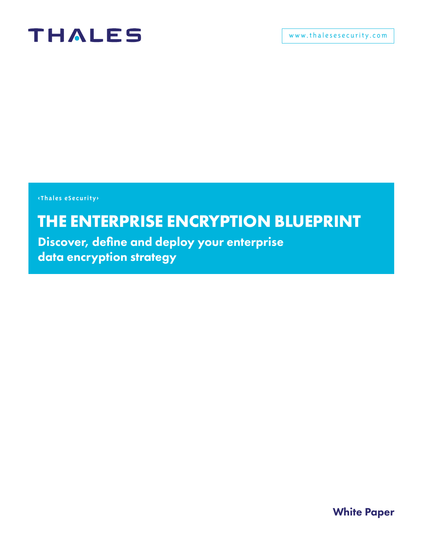

**<Thales eSecurity>**

### **THE ENTERPRISE ENCRYPTION BLUEPRINT**

Discover, define and deploy your enterprise data encryption strategy

White Paper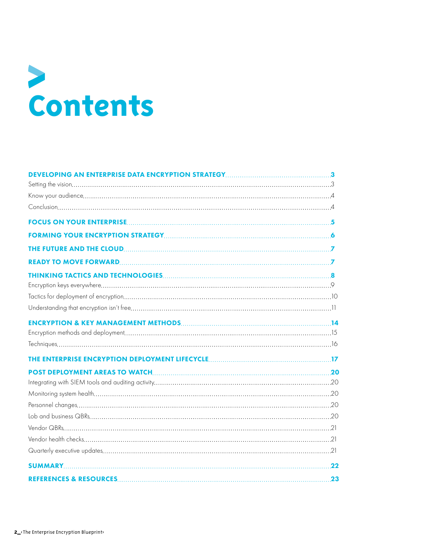### **Contents**

| 22 |
|----|
|    |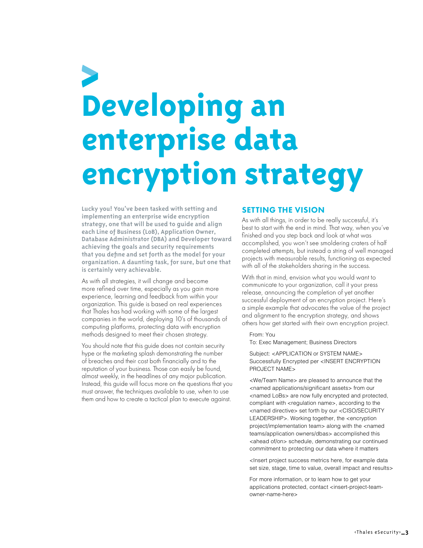### <span id="page-2-0"></span>**Developing an enterprise data encryption strategy**

**Lucky you! You've been tasked with setting and implementing an enterprise wide encryption strategy, one that will be used to guide and align each Line of Business (LoB), Application Owner, Database Administrator (DBA) and Developer toward achieving the goals and security requirements that you define and set forth as the model for your organization. A daunting task, for sure, but one that is certainly very achievable.**

As with all strategies, it will change and become more refined over time, especially as you gain more experience, learning and feedback from within your organization. This guide is based on real experiences that Thales has had working with some of the largest companies in the world, deploying 10's of thousands of computing platforms, protecting data with encryption methods designed to meet their chosen strategy.

You should note that this guide does not contain security hype or the marketing splash demonstrating the number of breaches and their cost both financially and to the reputation of your business. Those can easily be found, almost weekly, in the headlines of any major publication. Instead, this guide will focus more on the questions that you must answer, the techniques available to use, when to use them and how to create a tactical plan to execute against.

### SETTING THE VISION

As with all things, in order to be really successful, it's best to start with the end in mind. That way, when you've finished and you step back and look at what was accomplished, you won't see smoldering craters of half completed attempts, but instead a string of well managed projects with measurable results, functioning as expected with all of the stakeholders sharing in the success.

With that in mind, envision what you would want to communicate to your organization, call it your press release, announcing the completion of yet another successful deployment of an encryption project. Here's a simple example that advocates the value of the project and alignment to the encryption strategy, and shows others how get started with their own encryption project.

From: You

To: Exec Management; Business Directors

Subject: <APPLICATION or SYSTEM NAME> Successfully Encrypted per <INSERT ENCRYPTION PROJECT NAME>

<We/Team Name> are pleased to announce that the <named applications/significant assets> from our <named LoBs> are now fully encrypted and protected, compliant with <regulation name>, according to the <named directive> set forth by our <CISO/SECURITY LEADERSHIP>. Working together, the <encryption project/implementation team> along with the <named teams/application owners/dbas> accomplished this <ahead of/on> schedule, demonstrating our continued commitment to protecting our data where it matters

<Insert project success metrics here, for example data set size, stage, time to value, overall impact and results>

For more information, or to learn how to get your applications protected, contact <insert-project-teamowner-name-here>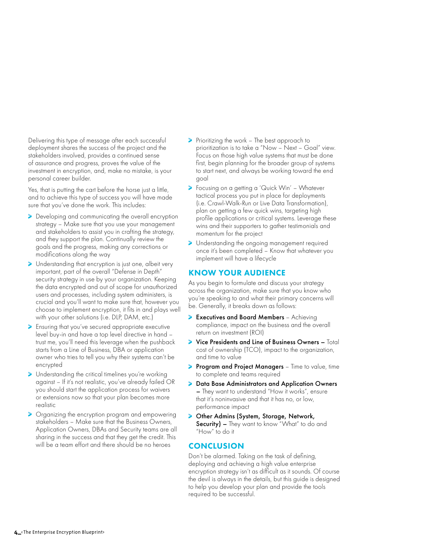<span id="page-3-0"></span>Delivering this type of message after each successful deployment shares the success of the project and the stakeholders involved, provides a continued sense of assurance and progress, proves the value of the investment in encryption, and, make no mistake, is your personal career builder.

Yes, that is putting the cart before the horse just a little, and to achieve this type of success you will have made sure that you've done the work. This includes:

- Developing and communicating the overall encryption strategy – Make sure that you use your management and stakeholders to assist you in crafting the strategy, and they support the plan. Continually review the goals and the progress, making any corrections or modifications along the way
- > Understanding that encryption is just one, albeit very important, part of the overall "Defense in Depth" security strategy in use by your organization. Keeping the data encrypted and out of scope for unauthorized users and processes, including system administers, is crucial and you'll want to make sure that, however you choose to implement encryption, it fits in and plays well with your other solutions (i.e. DLP, DAM, etc.)
- Ensuring that you've secured appropriate executive level buy-in and have a top level directive in hand – trust me, you'll need this leverage when the pushback starts from a Line of Business, DBA or application owner who tries to tell you why their systems can't be encrypted
- > Understanding the critical timelines you're working against – If it's not realistic, you've already failed OR you should start the application process for waivers or extensions now so that your plan becomes more realistic
- > Organizing the encryption program and empowering stakeholders – Make sure that the Business Owners, Application Owners, DBAs and Security teams are all sharing in the success and that they get the credit. This will be a team effort and there should be no heroes
- Prioritizing the work The best approach to prioritization is to take a "Now – Next – Goal" view. Focus on those high value systems that must be done first, begin planning for the broader group of systems to start next, and always be working toward the end goal
- Focusing on a getting a 'Quick Win' Whatever tactical process you put in place for deployments (i.e. Crawl-Walk-Run or Live Data Transformation), plan on getting a few quick wins, targeting high profile applications or critical systems. Leverage these wins and their supporters to gather testimonials and momentum for the project
- > Understanding the ongoing management required once it's been completed – Know that whatever you implement will have a lifecycle

### KNOW YOUR AUDIENCE

As you begin to formulate and discuss your strategy across the organization, make sure that you know who you're speaking to and what their primary concerns will be. Generally, it breaks down as follows:

- Executives and Board Members Achieving compliance, impact on the business and the overall return on investment (ROI)
- Vice Presidents and Line of Business Owners Total cost of ownership (TCO), impact to the organization, and time to value
- **Program and Project Managers** Time to value, time to complete and teams required
- Data Base Administrators and Application Owners – They want to understand "How it works", ensure that it's noninvasive and that it has no, or low, performance impact
- > Other Admins (System, Storage, Network, Security) – They want to know "What" to do and "How" to do it

### **CONCLUSION**

Don't be alarmed. Taking on the task of defining, deploying and achieving a high value enterprise encryption strategy isn't as difficult as it sounds. Of course the devil is always in the details, but this guide is designed to help you develop your plan and provide the tools required to be successful.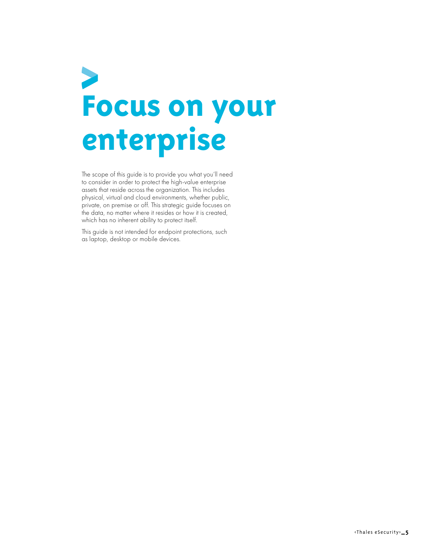### <span id="page-4-0"></span> $\blacktriangleright$ **Focus on your enterprise**

The scope of this guide is to provide you what you'll need to consider in order to protect the high-value enterprise assets that reside across the organization. This includes physical, virtual and cloud environments, whether public, private, on premise or off. This strategic guide focuses on the data, no matter where it resides or how it is created, which has no inherent ability to protect itself.

This guide is not intended for endpoint protections, such as laptop, desktop or mobile devices.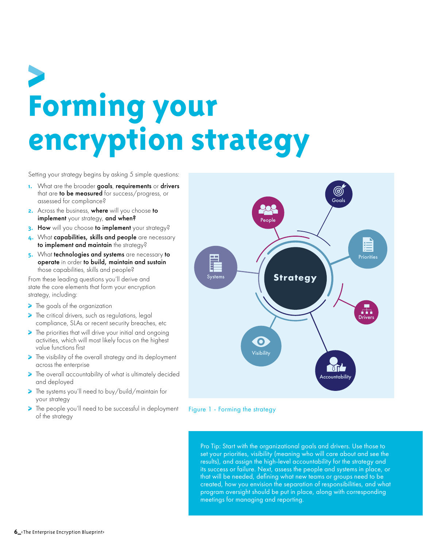### <span id="page-5-0"></span>**Forming your**  encryption strategy

Setting your strategy begins by asking 5 simple questions:

- **1.** What are the broader goals, requirements or drivers that are to be measured for success/progress, or assessed for compliance?
- **2.** Across the business, where will you choose to implement your strategy, and when?
- **3.** How will you choose to implement your strategy?
- **4.** What capabilities, skills and people are necessary to implement and maintain the strategy?
- **5.** What technologies and systems are necessary to operate in order to build, maintain and sustain those capabilities, skills and people?

From these leading questions you'll derive and state the core elements that form your encryption strategy, including:

- **The goals of the organization**
- The critical drivers, such as regulations, legal compliance, SLAs or recent security breaches, etc
- The priorities that will drive your initial and ongoing activities, which will most likely focus on the highest value functions first
- The visibility of the overall strategy and its deployment across the enterprise
- The overall accountability of what is ultimately decided and deployed
- The systems you'll need to buy/build/maintain for your strategy
- The people you'll need to be successful in deployment of the strategy



Figure 1 - Forming the strategy

Pro Tip: Start with the organizational goals and drivers. Use those to set your priorities, visibility (meaning who will care about and see the results), and assign the high-level accountability for the strategy and its success or failure. Next, assess the people and systems in place, or that will be needed, defining what new teams or groups need to be created, how you envision the separation of responsibilities, and what program oversight should be put in place, along with corresponding meetings for managing and reporting.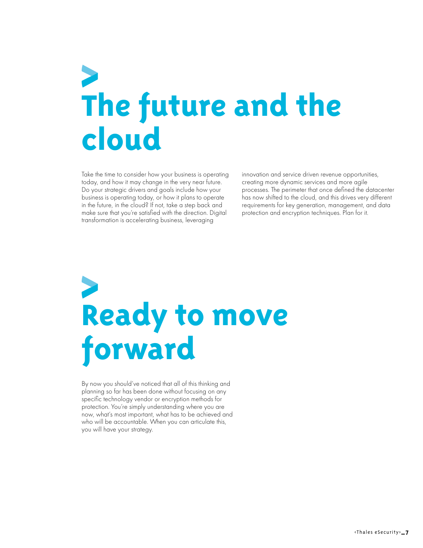## <span id="page-6-0"></span>**The future and the cloud**

Take the time to consider how your business is operating today, and how it may change in the very near future. Do your strategic drivers and goals include how your business is operating today, or how it plans to operate in the future, in the cloud? If not, take a step back and make sure that you're satisfied with the direction. Digital transformation is accelerating business, leveraging

innovation and service driven revenue opportunities, creating more dynamic services and more agile processes. The perimeter that once defined the datacenter has now shifted to the cloud, and this drives very different requirements for key generation, management, and data protection and encryption techniques. Plan for it.

## **Ready to move forward**

By now you should've noticed that all of this thinking and planning so far has been done without focusing on any specific technology vendor or encryption methods for protection. You're simply understanding where you are now, what's most important, what has to be achieved and who will be accountable. When you can articulate this, you will have your strategy.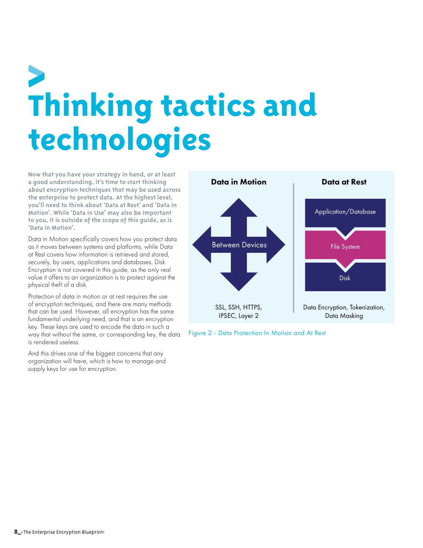## <span id="page-7-0"></span>**Thinking tactics and technologies**

**Now that you have your strategy in hand, or at least a good understanding, it's time to start thinking about encryption techniques that may be used across the enterprise to protect data. At the highest level, you'll need to think about 'Data at Rest' and 'Data in Motion'. While 'Data in Use' may also be important to you, it is outside of the scope of this guide, as is 'Data in Motion'.**

Data in Motion specifically covers how you protect data as it moves between systems and platforms, while Data at Rest covers how information is retrieved and stored, securely, by users, applications and databases. Disk Encryption is not covered in this guide, as the only real value it offers to an organization is to protect against the physical theft of a disk.

Protection of data in motion or at rest requires the use of encryption techniques, and there are many methods that can be used. However, all encryption has the same fundamental underlying need, and that is an encryption key. These keys are used to encode the data in such a way that without the same, or corresponding key, the data is rendered useless.

And this drives one of the biggest concerns that any organization will have, which is how to manage and supply keys for use for encryption.



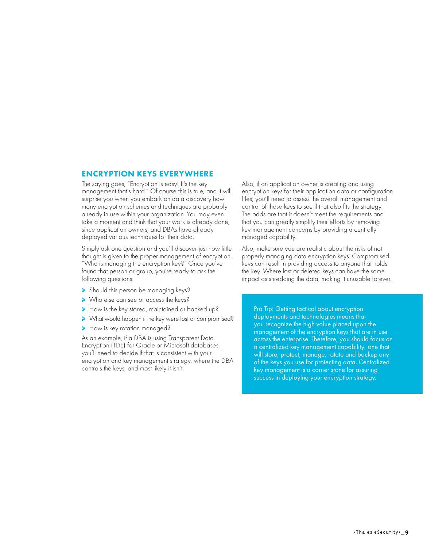### <span id="page-8-0"></span>ENCRYPTION KEYS EVERYWHERE

The saying goes, "Encryption is easy! It's the key management that's hard." Of course this is true, and it will surprise you when you embark on data discovery how many encryption schemes and techniques are probably already in use within your organization. You may even take a moment and think that your work is already done, since application owners, and DBAs have already deployed various techniques for their data.

Simply ask one question and you'll discover just how little thought is given to the proper management of encryption, "Who is managing the encryption key?" Once you've found that person or group, you're ready to ask the following questions:

- Should this person be managing keys?
- Who else can see or access the keys?
- How is the key stored, maintained or backed up?
- What would happen if the key were lost or compromised?
- How is key rotation managed?

As an example, if a DBA is using Transparent Data Encryption (TDE) for Oracle or Microsoft databases, you'll need to decide if that is consistent with your encryption and key management strategy, where the DBA controls the keys, and most likely it isn't.

Also, if an application owner is creating and using encryption keys for their application data or configuration files, you'll need to assess the overall management and control of those keys to see if that also fits the strategy. The odds are that it doesn't meet the requirements and that you can greatly simplify their efforts by removing key management concerns by providing a centrally managed capability.

Also, make sure you are realistic about the risks of not properly managing data encryption keys. Compromised keys can result in providing access to anyone that holds the key. Where lost or deleted keys can have the same impact as shredding the data, making it unusable forever.

Pro Tip: Getting tactical about encryption deployments and technologies means that you recognize the high value placed upon the management of the encryption keys that are in use across the enterprise. Therefore, you should focus on a centralized key management capability, one that will store, protect, manage, rotate and backup any of the keys you use for protecting data. Centralized key management is a corner stone for assuring success in deploying your encryption strategy.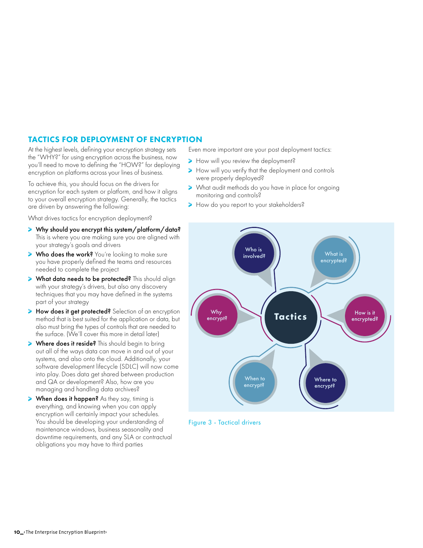### <span id="page-9-0"></span>TACTICS FOR DEPLOYMENT OF ENCRYPTION

At the highest levels, defining your encryption strategy sets the "WHY?" for using encryption across the business, now you'll need to move to defining the "HOW?" for deploying encryption on platforms across your lines of business.

To achieve this, you should focus on the drivers for encryption for each system or platform, and how it aligns to your overall encryption strategy. Generally, the tactics are driven by answering the following:

What drives tactics for encryption deployment?

- > Why should you encrypt this system/platform/data? This is where you are making sure you are aligned with your strategy's goals and drivers
- **> Who does the work?** You're looking to make sure you have properly defined the teams and resources needed to complete the project
- > What data needs to be protected? This should align with your strategy's drivers, but also any discovery techniques that you may have defined in the systems part of your strategy
- > How does it get protected? Selection of an encryption method that is best suited for the application or data, but also must bring the types of controls that are needed to the surface. (We'll cover this more in detail later)
- > Where does it reside? This should begin to bring out all of the ways data can move in and out of your systems, and also onto the cloud. Additionally, your software development lifecycle (SDLC) will now come into play. Does data get shared between production and QA or development? Also, how are you managing and handling data archives?
- > When does it happen? As they say, timing is everything, and knowing when you can apply encryption will certainly impact your schedules. You should be developing your understanding of maintenance windows, business seasonality and downtime requirements, and any SLA or contractual obligations you may have to third parties

Even more important are your post deployment tactics:

- How will you review the deployment?
- How will you verify that the deployment and controls were properly deployed?
- > What audit methods do you have in place for ongoing<br>monitoring and controls? monitoring and controls?
	- How do you report to your stakeholders?



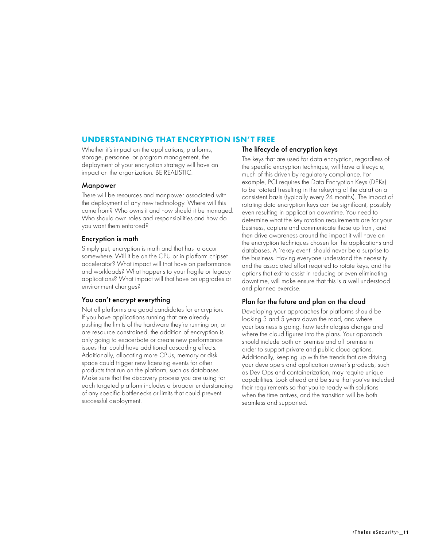### <span id="page-10-0"></span>UNDERSTANDING THAT ENCRYPTION ISN'T FREE

Whether it's impact on the applications, platforms, storage, personnel or program management, the deployment of your encryption strategy will have an impact on the organization. BE REALISTIC.

#### Manpower

There will be resources and manpower associated with the deployment of any new technology. Where will this come from? Who owns it and how should it be managed. Who should own roles and responsibilities and how do you want them enforced?

### Encryption is math

Simply put, encryption is math and that has to occur somewhere. Will it be on the CPU or in platform chipset accelerator? What impact will that have on performance and workloads? What happens to your fragile or legacy applications? What impact will that have on upgrades or environment changes?

### You can't encrypt everything

Not all platforms are good candidates for encryption. If you have applications running that are already pushing the limits of the hardware they're running on, or are resource constrained, the addition of encryption is only going to exacerbate or create new performance issues that could have additional cascading effects. Additionally, allocating more CPUs, memory or disk space could trigger new licensing events for other products that run on the platform, such as databases. Make sure that the discovery process you are using for each targeted platform includes a broader understanding of any specific bottlenecks or limits that could prevent successful deployment.

### The lifecycle of encryption keys

The keys that are used for data encryption, regardless of the specific encryption technique, will have a lifecycle, much of this driven by regulatory compliance. For example, PCI requires the Data Encryption Keys (DEKs) to be rotated (resulting in the rekeying of the data) on a consistent basis (typically every 24 months). The impact of rotating data encryption keys can be significant, possibly even resulting in application downtime. You need to determine what the key rotation requirements are for your business, capture and communicate those up front, and then drive awareness around the impact it will have on the encryption techniques chosen for the applications and databases. A 'rekey event' should never be a surprise to the business. Having everyone understand the necessity and the associated effort required to rotate keys, and the options that exit to assist in reducing or even eliminating downtime, will make ensure that this is a well understood and planned exercise.

### Plan for the future and plan on the cloud

Developing your approaches for platforms should be looking 3 and 5 years down the road, and where your business is going, how technologies change and where the cloud figures into the plans. Your approach should include both on premise and off premise in order to support private and public cloud options. Additionally, keeping up with the trends that are driving your developers and application owner's products, such as Dev Ops and containerization, may require unique capabilities. Look ahead and be sure that you've included their requirements so that you're ready with solutions when the time arrives, and the transition will be both seamless and supported.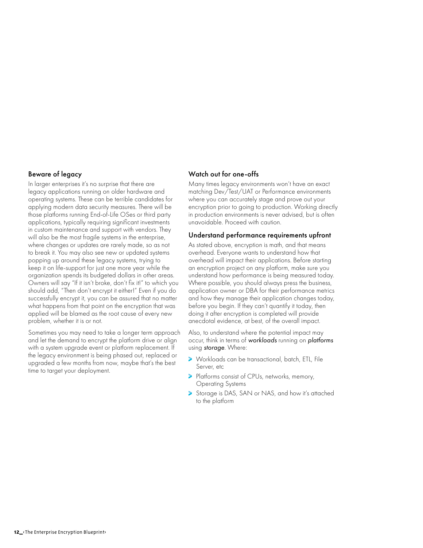#### Beware of legacy

In larger enterprises it's no surprise that there are legacy applications running on older hardware and operating systems. These can be terrible candidates for applying modern data security measures. There will be those platforms running End-of-Life OSes or third party applications, typically requiring significant investments in custom maintenance and support with vendors. They will also be the most fragile systems in the enterprise, where changes or updates are rarely made, so as not to break it. You may also see new or updated systems popping up around these legacy systems, trying to keep it on life-support for just one more year while the organization spends its budgeted dollars in other areas. Owners will say "If it isn't broke, don't fix it!" to which you should add, "Then don't encrypt it either!" Even if you do successfully encrypt it, you can be assured that no matter what happens from that point on the encryption that was applied will be blamed as the root cause of every new problem, whether it is or not.

Sometimes you may need to take a longer term approach and let the demand to encrypt the platform drive or align with a system upgrade event or platform replacement. If the legacy environment is being phased out, replaced or upgraded a few months from now, maybe that's the best time to target your deployment.

#### Watch out for one-offs

Many times legacy environments won't have an exact matching Dev/Test/UAT or Performance environments where you can accurately stage and prove out your encryption prior to going to production. Working directly in production environments is never advised, but is often unavoidable. Proceed with caution.

#### Understand performance requirements upfront

As stated above, encryption is math, and that means overhead. Everyone wants to understand how that overhead will impact their applications. Before starting an encryption project on any platform, make sure you understand how performance is being measured today. Where possible, you should always press the business, application owner or DBA for their performance metrics and how they manage their application changes today, before you begin. If they can't quantify it today, then doing it after encryption is completed will provide anecdotal evidence, at best, of the overall impact.

Also, to understand where the potential impact may occur, think in terms of *workloads* running on *platforms* using *storage*. Where:

- > Workloads can be transactional, batch, ETL, File Server, etc
- Platforms consist of CPUs, networks, memory, Operating Systems
- Storage is DAS, SAN or NAS, and how it's attached to the platform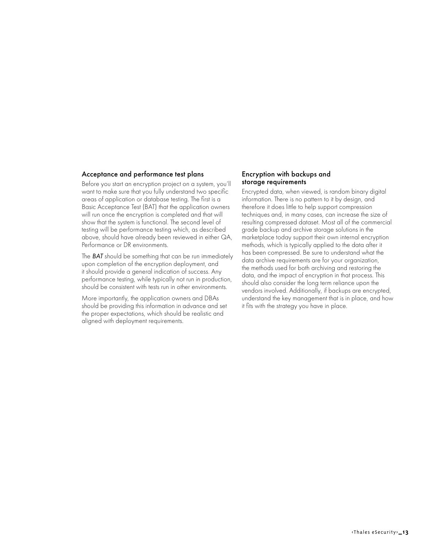#### Acceptance and performance test plans

Before you start an encryption project on a system, you'll want to make sure that you fully understand two specific areas of application or database testing. The first is a Basic Acceptance Test (BAT) that the application owners will run once the encryption is completed and that will show that the system is functional. The second level of testing will be performance testing which, as described above, should have already been reviewed in either QA, Performance or DR environments.

The *BAT* should be something that can be run immediately upon completion of the encryption deployment, and it should provide a general indication of success. Any performance testing, while typically not run in production, should be consistent with tests run in other environments.

More importantly, the application owners and DBAs should be providing this information in advance and set the proper expectations, which should be realistic and aligned with deployment requirements.

#### Encryption with backups and storage requirements

Encrypted data, when viewed, is random binary digital information. There is no pattern to it by design, and therefore it does little to help support compression techniques and, in many cases, can increase the size of resulting compressed dataset. Most all of the commercial grade backup and archive storage solutions in the marketplace today support their own internal encryption methods, which is typically applied to the data after it has been compressed. Be sure to understand what the data archive requirements are for your organization, the methods used for both archiving and restoring the data, and the impact of encryption in that process. This should also consider the long term reliance upon the vendors involved. Additionally, if backups are encrypted, understand the key management that is in place, and how it fits with the strategy you have in place.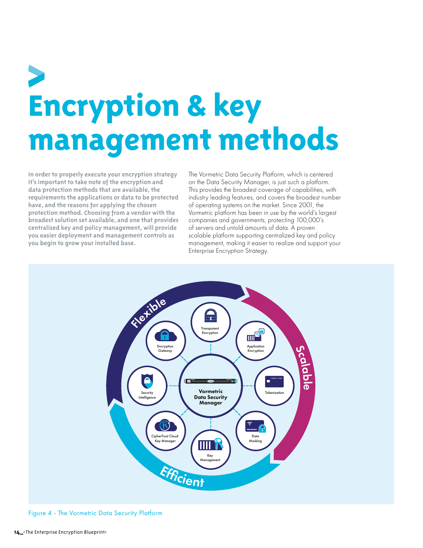## <span id="page-13-0"></span>**Encryption & key management methods**

**In order to properly execute your encryption strategy it's important to take note of the encryption and data protection methods that are available, the requirements the applications or data to be protected have, and the reasons for applying the chosen protection method. Choosing from a vendor with the broadest solution set available, and one that provides centralized key and policy management, will provide you easier deployment and management controls as you begin to grow your installed base.**

The Vormetric Data Security Platform, which is centered on the Data Security Manager, is just such a platform. This provides the broadest coverage of capabilities, with industry leading features, and covers the broadest number of operating systems on the market. Since 2001, the Vormetric platform has been in use by the world's largest companies and governments, protecting 100,000's of servers and untold amounts of data. A proven scalable platform supporting centralized key and policy management, making it easier to realize and support your Enterprise Encryption Strategy.



Figure 4 - The Vormetric Data Security Platform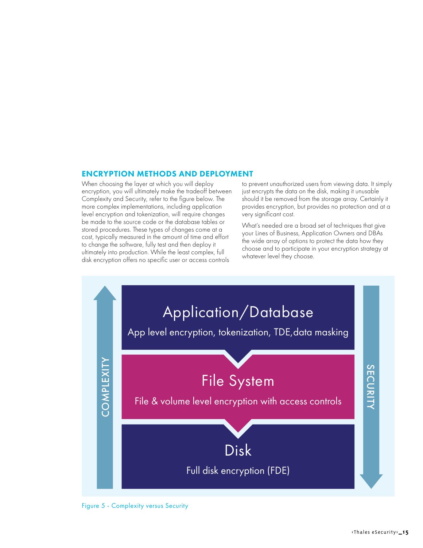### <span id="page-14-0"></span>ENCRYPTION METHODS AND DEPLOYMENT

When choosing the layer at which you will deploy encryption, you will ultimately make the tradeoff between Complexity and Security, refer to the figure below. The more complex implementations, including application level encryption and tokenization, will require changes be made to the source code or the database tables or stored procedures. These types of changes come at a cost, typically measured in the amount of time and effort to change the software, fully test and then deploy it ultimately into production. While the least complex, full disk encryption offers no specific user or access controls

to prevent unauthorized users from viewing data. It simply just encrypts the data on the disk, making it unusable should it be removed from the storage array. Certainly it provides encryption, but provides no protection and at a very significant cost.

What's needed are a broad set of techniques that give your Lines of Business, Application Owners and DBAs the wide array of options to protect the data how they choose and to participate in your encryption strategy at whatever level they choose.



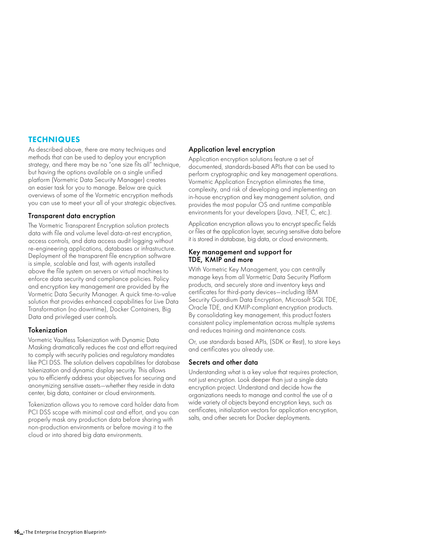### <span id="page-15-0"></span>**TECHNIQUES**

As described above, there are many techniques and methods that can be used to deploy your encryption strategy, and there may be no "one size fits all" technique, but having the options available on a single unified platform (Vormetric Data Security Manager) creates an easier task for you to manage. Below are quick overviews of some of the Vormetric encryption methods you can use to meet your all of your strategic objectives.

### Transparent data encryption

The Vormetric Transparent Encryption solution protects data with file and volume level data-at-rest encryption, access controls, and data access audit logging without re-engineering applications, databases or infrastructure. Deployment of the transparent file encryption software is simple, scalable and fast, with agents installed above the file system on servers or virtual machines to enforce data security and compliance policies. Policy and encryption key management are provided by the Vormetric Data Security Manager. A quick time-to-value solution that provides enhanced capabilities for Live Data Transformation (no downtime), Docker Containers, Big Data and privileged user controls.

### **Tokenization**

Vormetric Vaultless Tokenization with Dynamic Data Masking dramatically reduces the cost and effort required to comply with security policies and regulatory mandates like PCI DSS. The solution delivers capabilities for database tokenization and dynamic display security. This allows you to efficiently address your objectives for securing and anonymizing sensitive assets—whether they reside in data center, big data, container or cloud environments.

Tokenization allows you to remove card holder data from PCI DSS scope with minimal cost and effort, and you can properly mask any production data before sharing with non-production environments or before moving it to the cloud or into shared big data environments.

### Application level encryption

Application encryption solutions feature a set of documented, standards-based APIs that can be used to perform cryptographic and key management operations. Vormetric Application Encryption eliminates the time, complexity, and risk of developing and implementing an in-house encryption and key management solution, and provides the most popular OS and runtime compatible environments for your developers (Java, .NET, C, etc.).

Application encryption allows you to encrypt specific fields or files at the application layer, securing sensitive data before it is stored in database, big data, or cloud environments.

#### Key management and support for TDE, KMIP and more

With Vormetric Key Management, you can centrally manage keys from all Vormetric Data Security Platform products, and securely store and inventory keys and certificates for third-party devices—including IBM Security Guardium Data Encryption, Microsoft SQL TDE, Oracle TDE, and KMIP-compliant encryption products. By consolidating key management, this product fosters consistent policy implementation across multiple systems and reduces training and maintenance costs.

Or, use standards based APIs, (SDK or Rest), to store keys and certificates you already use.

### Secrets and other data

Understanding what is a key value that requires protection, not just encryption. Look deeper than just a single data encryption project. Understand and decide how the organizations needs to manage and control the use of a wide variety of objects beyond encryption keys, such as certificates, initialization vectors for application encryption, salts, and other secrets for Docker deployments.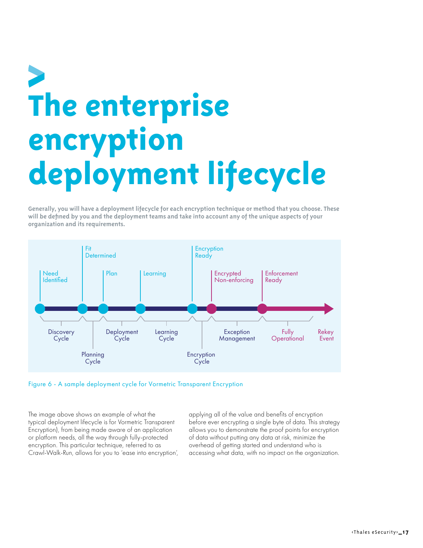### <span id="page-16-0"></span>**The enterprise encryption deployment lifecycle**

**Generally, you will have a deployment lifecycle for each encryption technique or method that you choose. These will be defined by you and the deployment teams and take into account any of the unique aspects of your organization and its requirements.**



Figure 6 - A sample deployment cycle for Vormetric Transparent Encryption

The image above shows an example of what the typical deployment lifecycle is for Vormetric Transparent Encryption), from being made aware of an application or platform needs, all the way through fully-protected encryption. This particular technique, referred to as Crawl-Walk-Run, allows for you to 'ease into encryption', applying all of the value and benefits of encryption before ever encrypting a single byte of data. This strategy allows you to demonstrate the proof points for encryption of data without putting any data at risk, minimize the overhead of getting started and understand who is accessing what data, with no impact on the organization.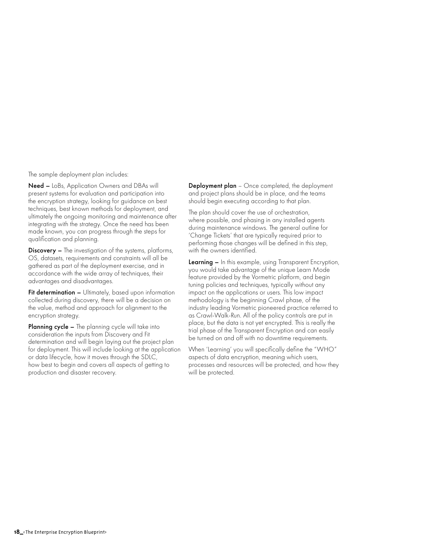The sample deployment plan includes:

Need – LoBs, Application Owners and DBAs will present systems for evaluation and participation into the encryption strategy, looking for guidance on best techniques, best known methods for deployment, and ultimately the ongoing monitoring and maintenance after integrating with the strategy. Once the need has been made known, you can progress through the steps for qualification and planning.

Discovery – The investigation of the systems, platforms, OS, datasets, requirements and constraints will all be gathered as part of the deployment exercise, and in accordance with the wide array of techniques, their advantages and disadvantages.

Fit determination - Ultimately, based upon information collected during discovery, there will be a decision on the value, method and approach for alignment to the encryption strategy.

Planning cycle – The planning cycle will take into consideration the inputs from Discovery and Fit determination and will begin laying out the project plan for deployment. This will include looking at the application or data lifecycle, how it moves through the SDLC, how best to begin and covers all aspects of getting to production and disaster recovery.

**Deployment plan** – Once completed, the deployment and project plans should be in place, and the teams should begin executing according to that plan.

The plan should cover the use of orchestration, where possible, and phasing in any installed agents during maintenance windows. The general outline for 'Change Tickets' that are typically required prior to performing those changes will be defined in this step, with the owners identified.

Learning - In this example, using Transparent Encryption, you would take advantage of the unique Learn Mode feature provided by the Vormetric platform, and begin tuning policies and techniques, typically without any impact on the applications or users. This low impact methodology is the beginning Crawl phase, of the industry leading Vormetric pioneered practice referred to as Crawl-Walk-Run. All of the policy controls are put in place, but the data is not yet encrypted. This is really the trial phase of the Transparent Encryption and can easily be turned on and off with no downtime requirements.

When 'Learning' you will specifically define the "WHO" aspects of data encryption, meaning which users, processes and resources will be protected, and how they will be protected.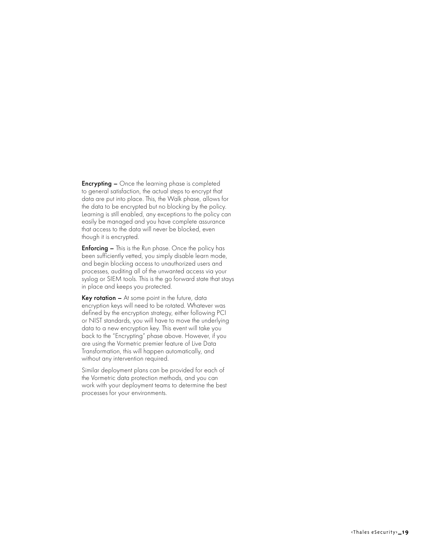**Encrypting –** Once the learning phase is completed to general satisfaction, the actual steps to encrypt that data are put into place. This, the Walk phase, allows for the data to be encrypted but no blocking by the policy. Learning is still enabled, any exceptions to the policy can easily be managed and you have complete assurance that access to the data will never be blocked, even though it is encrypted.

**Enforcing –** This is the Run phase. Once the policy has been sufficiently vetted, you simply disable learn mode, and begin blocking access to unauthorized users and processes, auditing all of the unwanted access via your syslog or SIEM tools. This is the go forward state that stays in place and keeps you protected.

Key rotation - At some point in the future, data encryption keys will need to be rotated. Whatever was defined by the encryption strategy, either following PCI or NIST standards, you will have to move the underlying data to a new encryption key. This event will take you back to the "Encrypting" phase above. However, if you are using the Vormetric premier feature of Live Data Transformation, this will happen automatically, and without any intervention required.

Similar deployment plans can be provided for each of the Vormetric data protection methods, and you can work with your deployment teams to determine the best processes for your environments.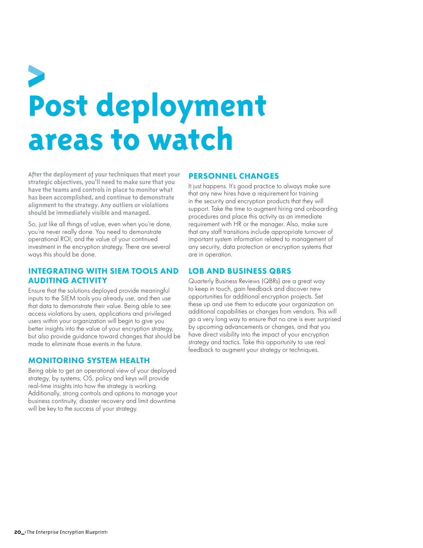### <span id="page-19-0"></span>**Post deployment areas to watch**

**After the deployment of your techniques that meet your strategic objectives, you'll need to make sure that you have the teams and controls in place to monitor what has been accomplished, and continue to demonstrate alignment to the strategy. Any outliers or violations should be immediately visible and managed.**

So, just like all things of value, even when you're done, you're never really done. You need to demonstrate operational ROI, and the value of your continued investment in the encryption strategy. There are several ways this should be done.

### INTEGRATING WITH SIEM TOOLS AND AUDITING ACTIVITY

Ensure that the solutions deployed provide meaningful inputs to the SIEM tools you already use, and then use that data to demonstrate their value. Being able to see access violations by users, applications and privileged users within your organization will begin to give you better insights into the value of your encryption strategy, but also provide guidance toward changes that should be made to eliminate those events in the future.

### MONITORING SYSTEM HEALTH

Being able to get an operational view of your deployed strategy, by systems, OS, policy and keys will provide real-time insights into how the strategy is working. Additionally, strong controls and options to manage your business continuity, disaster recovery and limit downtime will be key to the success of your strategy.

### PERSONNEL CHANGES

It just happens. It's good practice to always make sure that any new hires have a requirement for training in the security and encryption products that they will support. Take the time to augment hiring and onboarding procedures and place this activity as an immediate requirement with HR or the manager. Also, make sure that any staff transitions include appropriate turnover of important system information related to management of any security, data protection or encryption systems that are in operation.

### LOB AND BUSINESS QBRS

Quarterly Business Reviews (QBRs) are a great way to keep in touch, gain feedback and discover new opportunities for additional encryption projects. Set these up and use them to educate your organization on additional capabilities or changes from vendors. This will go a very long way to ensure that no one is ever surprised by upcoming advancements or changes, and that you have direct visibility into the impact of your encryption strategy and tactics. Take this opportunity to use real feedback to augment your strategy or techniques.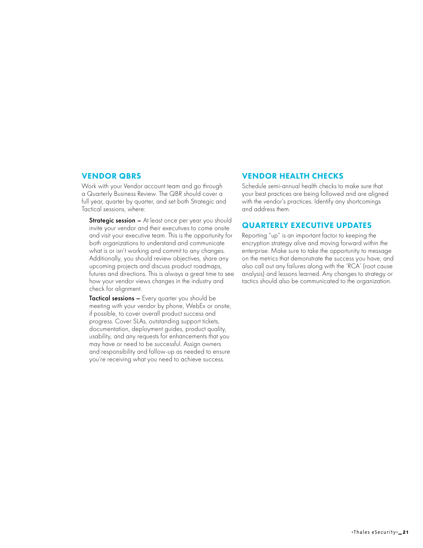### <span id="page-20-0"></span>VENDOR QBRS

Work with your Vendor account team and go through a Quarterly Business Review. The QBR should cover a full year, quarter by quarter, and set both Strategic and Tactical sessions, where:

**Strategic session –** At least once per year you should invite your vendor and their executives to come onsite and visit your executive team. This is the opportunity for both organizations to understand and communicate what is or isn't working and commit to any changes. Additionally, you should review objectives, share any upcoming projects and discuss product roadmaps, futures and directions. This is always a great time to see how your vendor views changes in the industry and check for alignment.

Tactical sessions – Every quarter you should be meeting with your vendor by phone, WebEx or onsite, if possible, to cover overall product success and progress. Cover SLAs, outstanding support tickets, documentation, deployment guides, product quality, usability, and any requests for enhancements that you may have or need to be successful. Assign owners and responsibility and follow-up as needed to ensure you're receiving what you need to achieve success.

### VENDOR HEALTH CHECKS

Schedule semi-annual health checks to make sure that your best practices are being followed and are aligned with the vendor's practices. Identify any shortcomings and address them.

### QUARTERLY EXECUTIVE UPDATES

Reporting "up" is an important factor to keeping the encryption strategy alive and moving forward within the enterprise. Make sure to take the opportunity to message on the metrics that demonstrate the success you have, and also call out any failures along with the 'RCA' (root cause analysis) and lessons learned. Any changes to strategy or tactics should also be communicated to the organization.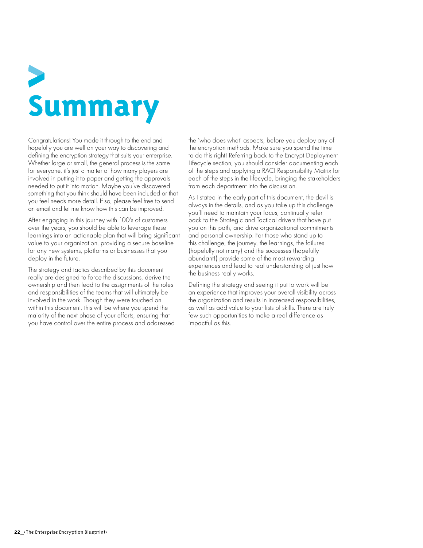# <span id="page-21-0"></span>**Summary**

Congratulations! You made it through to the end and hopefully you are well on your way to discovering and defining the encryption strategy that suits your enterprise. Whether large or small, the general process is the same for everyone, it's just a matter of how many players are involved in putting it to paper and getting the approvals needed to put it into motion. Maybe you've discovered something that you think should have been included or that you feel needs more detail. If so, please feel free to send an email and let me know how this can be improved.

After engaging in this journey with 100's of customers over the years, you should be able to leverage these learnings into an actionable plan that will bring significant value to your organization, providing a secure baseline for any new systems, platforms or businesses that you deploy in the future.

The strategy and tactics described by this document really are designed to force the discussions, derive the ownership and then lead to the assignments of the roles and responsibilities of the teams that will ultimately be involved in the work. Though they were touched on within this document, this will be where you spend the majority of the next phase of your efforts, ensuring that you have control over the entire process and addressed

the 'who does what' aspects, before you deploy any of the encryption methods. Make sure you spend the time to do this right! Referring back to the Encrypt Deployment Lifecycle section, you should consider documenting each of the steps and applying a RACI Responsibility Matrix for each of the steps in the lifecycle, bringing the stakeholders from each department into the discussion.

As I stated in the early part of this document, the devil is always in the details, and as you take up this challenge you'll need to maintain your focus, continually refer back to the Strategic and Tactical drivers that have put you on this path, and drive organizational commitments and personal ownership. For those who stand up to this challenge, the journey, the learnings, the failures (hopefully not many) and the successes (hopefully abundant!) provide some of the most rewarding experiences and lead to real understanding of just how the business really works.

Defining the strategy and seeing it put to work will be an experience that improves your overall visibility across the organization and results in increased responsibilities, as well as add value to your lists of skills. There are truly few such opportunities to make a real difference as impactful as this.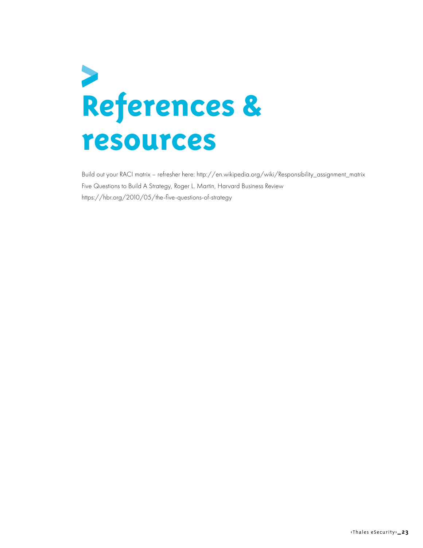### <span id="page-22-0"></span>**References & resources**

Build out your RACI matrix – refresher here: http://en.wikipedia.org/wiki/Responsibility\_assignment\_matrix Five Questions to Build A Strategy, Roger L. Martin, Harvard Business Review https://hbr.org/2010/05/the-five-questions-of-strategy